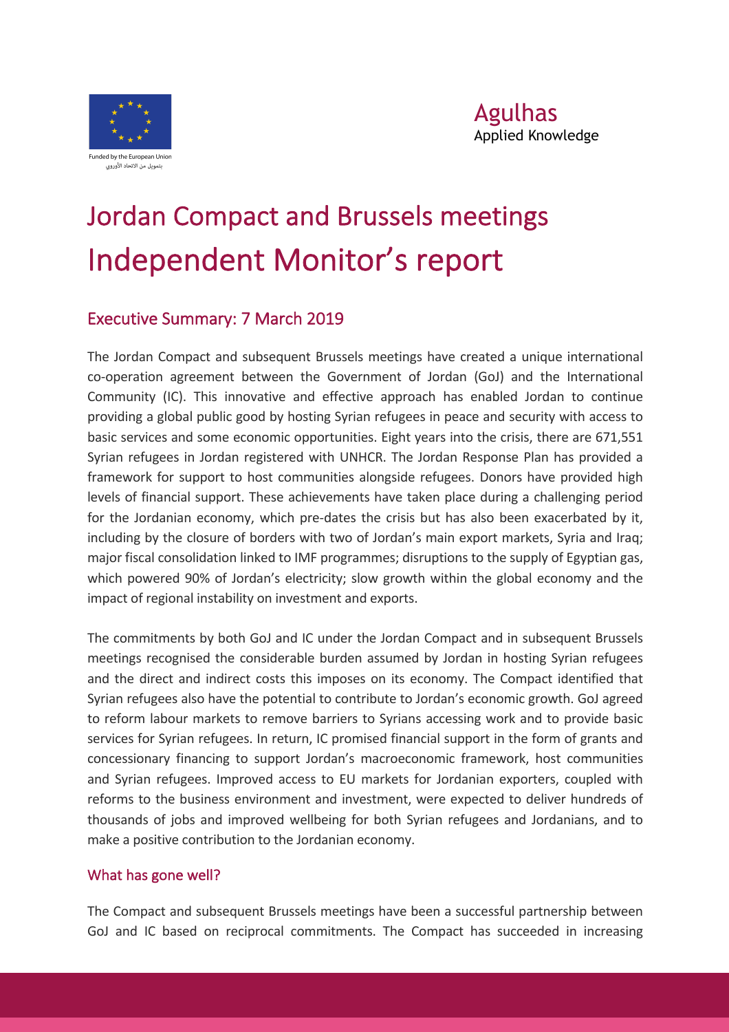

# Jordan Compact and Brussels meetings Independent Monitor's report

### Executive Summary: 7 March 2019

The Jordan Compact and subsequent Brussels meetings have created a unique international co-operation agreement between the Government of Jordan (GoJ) and the International Community (IC). This innovative and effective approach has enabled Jordan to continue providing a global public good by hosting Syrian refugees in peace and security with access to basic services and some economic opportunities. Eight years into the crisis, there are 671,551 Syrian refugees in Jordan registered with UNHCR. The Jordan Response Plan has provided a framework for support to host communities alongside refugees. Donors have provided high levels of financial support. These achievements have taken place during a challenging period for the Jordanian economy, which pre-dates the crisis but has also been exacerbated by it, including by the closure of borders with two of Jordan's main export markets, Syria and Iraq; major fiscal consolidation linked to IMF programmes; disruptions to the supply of Egyptian gas, which powered 90% of Jordan's electricity; slow growth within the global economy and the impact of regional instability on investment and exports.

The commitments by both GoJ and IC under the Jordan Compact and in subsequent Brussels meetings recognised the considerable burden assumed by Jordan in hosting Syrian refugees and the direct and indirect costs this imposes on its economy. The Compact identified that Syrian refugees also have the potential to contribute to Jordan's economic growth. GoJ agreed to reform labour markets to remove barriers to Syrians accessing work and to provide basic services for Syrian refugees. In return, IC promised financial support in the form of grants and concessionary financing to support Jordan's macroeconomic framework, host communities and Syrian refugees. Improved access to EU markets for Jordanian exporters, coupled with reforms to the business environment and investment, were expected to deliver hundreds of thousands of jobs and improved wellbeing for both Syrian refugees and Jordanians, and to make a positive contribution to the Jordanian economy.

#### What has gone well?

The Compact and subsequent Brussels meetings have been a successful partnership between GoJ and IC based on reciprocal commitments. The Compact has succeeded in increasing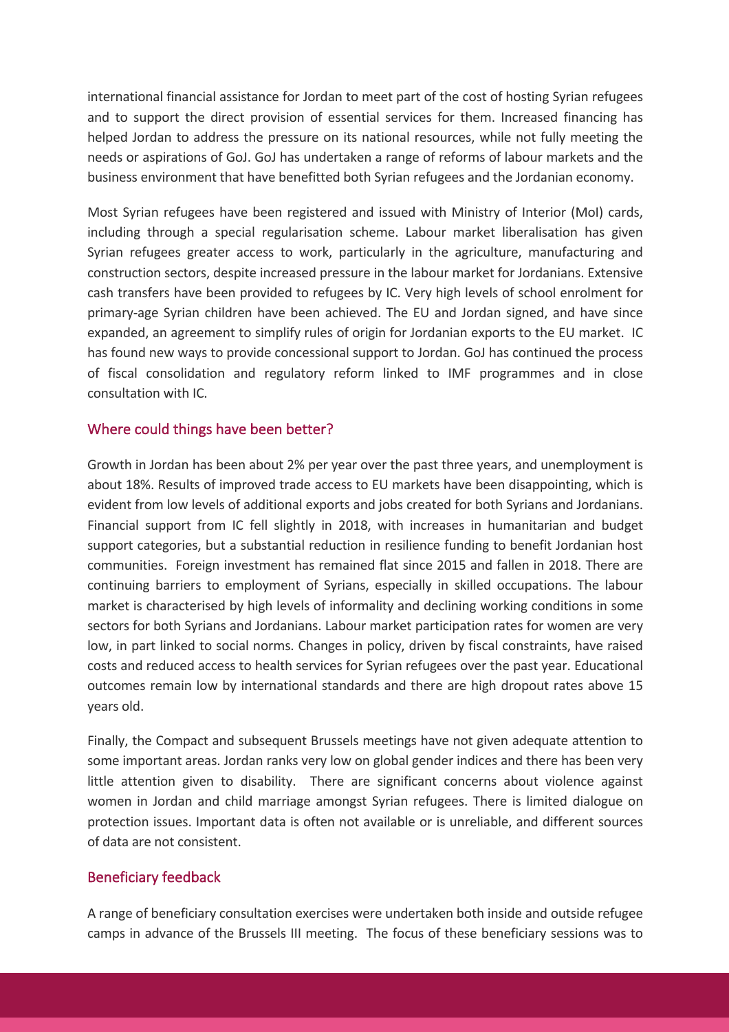international financial assistance for Jordan to meet part of the cost of hosting Syrian refugees and to support the direct provision of essential services for them. Increased financing has helped Jordan to address the pressure on its national resources, while not fully meeting the needs or aspirations of GoJ. GoJ has undertaken a range of reforms of labour markets and the business environment that have benefitted both Syrian refugees and the Jordanian economy.

Most Syrian refugees have been registered and issued with Ministry of Interior (MoI) cards, including through a special regularisation scheme. Labour market liberalisation has given Syrian refugees greater access to work, particularly in the agriculture, manufacturing and construction sectors, despite increased pressure in the labour market for Jordanians. Extensive cash transfers have been provided to refugees by IC. Very high levels of school enrolment for primary-age Syrian children have been achieved. The EU and Jordan signed, and have since expanded, an agreement to simplify rules of origin for Jordanian exports to the EU market. IC has found new ways to provide concessional support to Jordan. GoJ has continued the process of fiscal consolidation and regulatory reform linked to IMF programmes and in close consultation with IC.

#### Where could things have been better?

Growth in Jordan has been about 2% per year over the past three years, and unemployment is about 18%. Results of improved trade access to EU markets have been disappointing, which is evident from low levels of additional exports and jobs created for both Syrians and Jordanians. Financial support from IC fell slightly in 2018, with increases in humanitarian and budget support categories, but a substantial reduction in resilience funding to benefit Jordanian host communities. Foreign investment has remained flat since 2015 and fallen in 2018. There are continuing barriers to employment of Syrians, especially in skilled occupations. The labour market is characterised by high levels of informality and declining working conditions in some sectors for both Syrians and Jordanians. Labour market participation rates for women are very low, in part linked to social norms. Changes in policy, driven by fiscal constraints, have raised costs and reduced access to health services for Syrian refugees over the past year. Educational outcomes remain low by international standards and there are high dropout rates above 15 years old.

Finally, the Compact and subsequent Brussels meetings have not given adequate attention to some important areas. Jordan ranks very low on global gender indices and there has been very little attention given to disability. There are significant concerns about violence against women in Jordan and child marriage amongst Syrian refugees. There is limited dialogue on protection issues. Important data is often not available or is unreliable, and different sources of data are not consistent.

#### Beneficiary feedback

A range of beneficiary consultation exercises were undertaken both inside and outside refugee camps in advance of the Brussels III meeting. The focus of these beneficiary sessions was to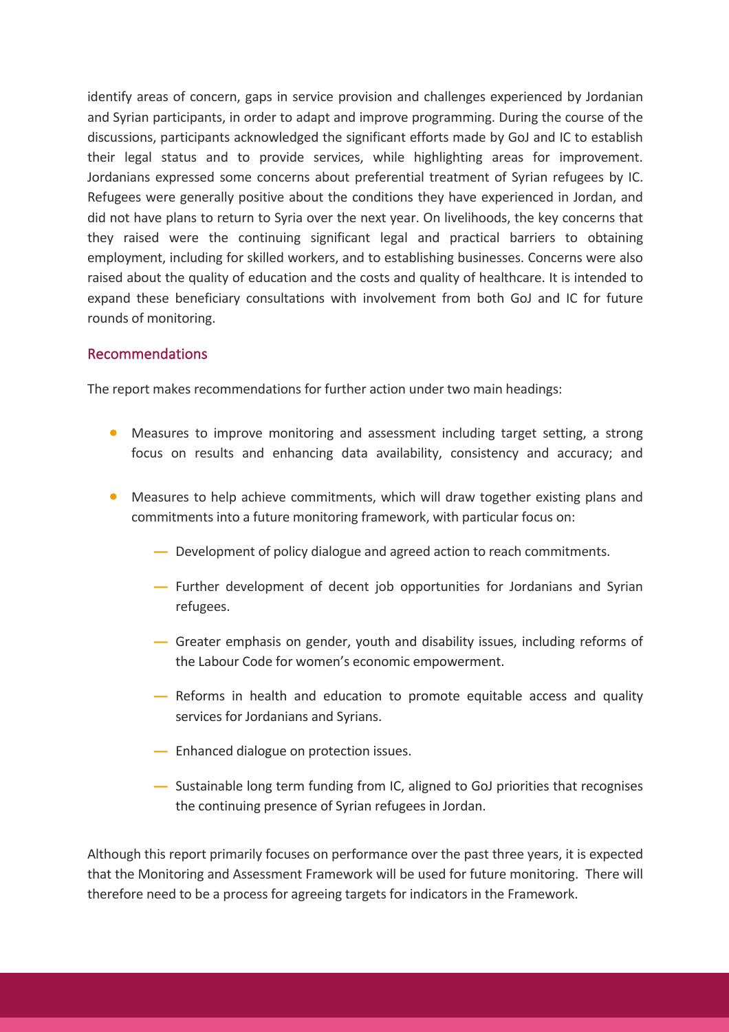identify areas of concern, gaps in service provision and challenges experienced by Jordanian and Syrian participants, in order to adapt and improve programming. During the course of the discussions, participants acknowledged the significant efforts made by GoJ and IC to establish their legal status and to provide services, while highlighting areas for improvement. Jordanians expressed some concerns about preferential treatment of Syrian refugees by IC. Refugees were generally positive about the conditions they have experienced in Jordan, and did not have plans to return to Syria over the next year. On livelihoods, the key concerns that they raised were the continuing significant legal and practical barriers to obtaining employment, including for skilled workers, and to establishing businesses. Concerns were also raised about the quality of education and the costs and quality of healthcare. It is intended to expand these beneficiary consultations with involvement from both GoJ and IC for future rounds of monitoring.

#### Recommendations

The report makes recommendations for further action under two main headings:

- Measures to improve monitoring and assessment including target setting, a strong focus on results and enhancing data availability, consistency and accuracy; and
- Measures to help achieve commitments, which will draw together existing plans and commitments into a future monitoring framework, with particular focus on:
	- **―** Development of policy dialogue and agreed action to reach commitments.
	- **―** Further development of decent job opportunities for Jordanians and Syrian refugees.
	- **―** Greater emphasis on gender, youth and disability issues, including reforms of the Labour Code for women's economic empowerment.
	- **―** Reforms in health and education to promote equitable access and quality services for Jordanians and Syrians.
	- **―** Enhanced dialogue on protection issues.
	- **―** Sustainable long term funding from IC, aligned to GoJ priorities that recognises the continuing presence of Syrian refugees in Jordan.

Although this report primarily focuses on performance over the past three years, it is expected that the Monitoring and Assessment Framework will be used for future monitoring. There will therefore need to be a process for agreeing targets for indicators in the Framework.